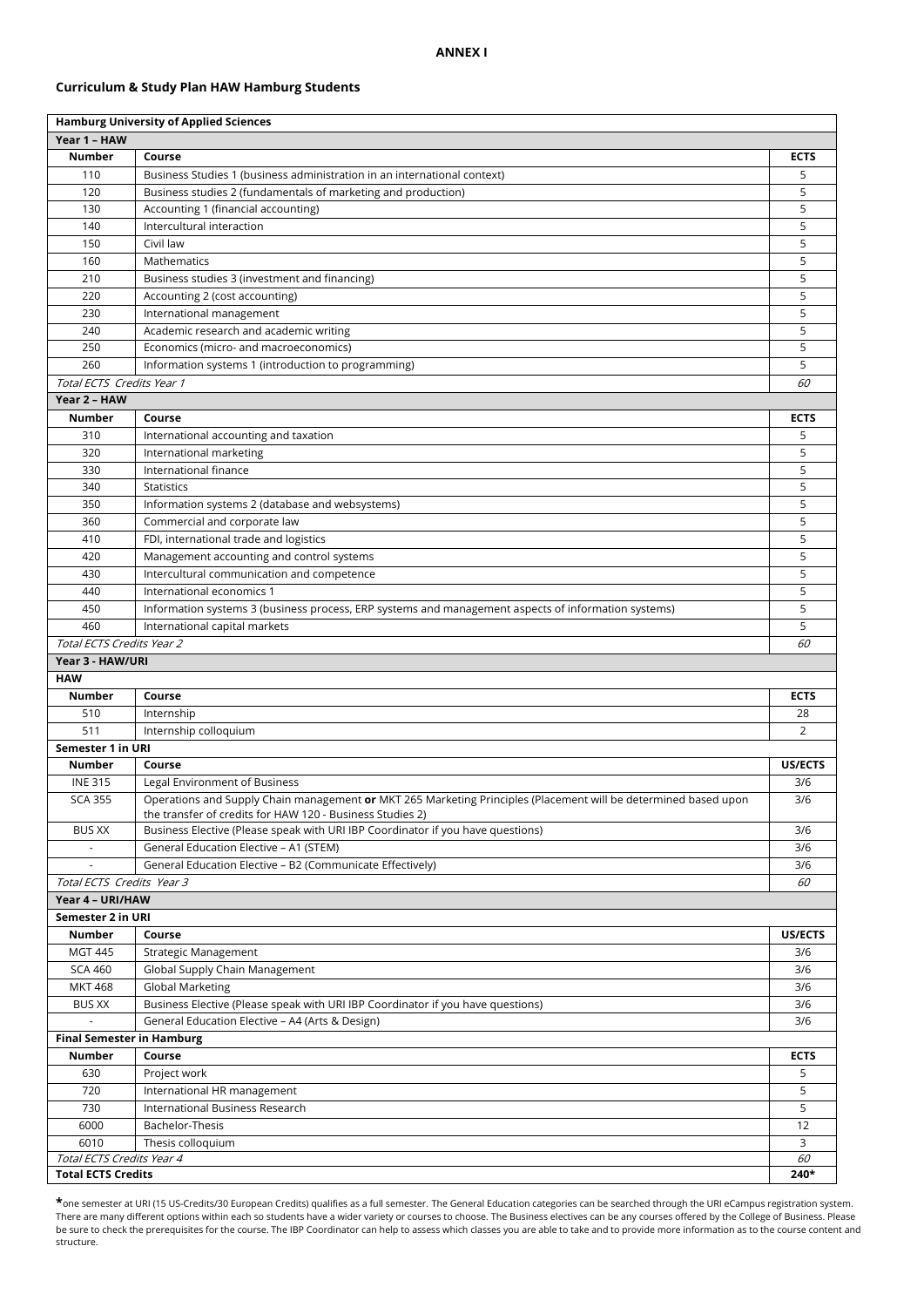## **ANNEX I**

# **Curriculum & Study Plan HAW Hamburg Students**

| <b>Hamburg University of Applied Sciences</b> |                                                                                                                                                                              |                                   |  |  |  |
|-----------------------------------------------|------------------------------------------------------------------------------------------------------------------------------------------------------------------------------|-----------------------------------|--|--|--|
| Year 1 - HAW                                  |                                                                                                                                                                              |                                   |  |  |  |
| <b>Number</b>                                 | Course                                                                                                                                                                       | <b>ECTS</b>                       |  |  |  |
| 110                                           | Business Studies 1 (business administration in an international context)                                                                                                     | 5                                 |  |  |  |
| 120                                           | Business studies 2 (fundamentals of marketing and production)                                                                                                                | 5                                 |  |  |  |
| 130                                           | Accounting 1 (financial accounting)                                                                                                                                          | 5                                 |  |  |  |
| 140                                           | Intercultural interaction                                                                                                                                                    | 5                                 |  |  |  |
| 150                                           | Civil law                                                                                                                                                                    | 5                                 |  |  |  |
| 160                                           | Mathematics                                                                                                                                                                  | 5                                 |  |  |  |
| 210                                           | Business studies 3 (investment and financing)                                                                                                                                | 5                                 |  |  |  |
| 220                                           | Accounting 2 (cost accounting)                                                                                                                                               | 5                                 |  |  |  |
| 230                                           | International management                                                                                                                                                     | 5                                 |  |  |  |
| 240                                           | Academic research and academic writing                                                                                                                                       | 5                                 |  |  |  |
| 250                                           | Economics (micro- and macroeconomics)                                                                                                                                        | 5                                 |  |  |  |
| 260                                           | Information systems 1 (introduction to programming)                                                                                                                          | 5                                 |  |  |  |
| Total ECTS Credits Year 1                     |                                                                                                                                                                              | 60                                |  |  |  |
| Year 2 - HAW                                  |                                                                                                                                                                              |                                   |  |  |  |
| <b>Number</b>                                 | Course                                                                                                                                                                       | <b>ECTS</b>                       |  |  |  |
| 310                                           | International accounting and taxation                                                                                                                                        | 5                                 |  |  |  |
| 320                                           | International marketing                                                                                                                                                      | 5                                 |  |  |  |
| 330                                           | International finance                                                                                                                                                        | 5                                 |  |  |  |
| 340                                           | <b>Statistics</b>                                                                                                                                                            | 5                                 |  |  |  |
| 350                                           | Information systems 2 (database and websystems)                                                                                                                              | 5                                 |  |  |  |
| 360                                           | Commercial and corporate law                                                                                                                                                 | 5                                 |  |  |  |
| 410                                           | FDI, international trade and logistics                                                                                                                                       | 5                                 |  |  |  |
| 420                                           | Management accounting and control systems                                                                                                                                    | 5                                 |  |  |  |
| 430                                           | Intercultural communication and competence                                                                                                                                   | 5                                 |  |  |  |
| 440                                           | International economics 1                                                                                                                                                    | 5                                 |  |  |  |
| 450                                           | Information systems 3 (business process, ERP systems and management aspects of information systems)                                                                          | 5                                 |  |  |  |
| 460                                           | International capital markets                                                                                                                                                | 5                                 |  |  |  |
| Total ECTS Credits Year 2                     |                                                                                                                                                                              | 60                                |  |  |  |
| Year 3 - HAW/URI                              |                                                                                                                                                                              |                                   |  |  |  |
| <b>HAW</b>                                    |                                                                                                                                                                              |                                   |  |  |  |
| Number                                        | Course                                                                                                                                                                       | <b>ECTS</b>                       |  |  |  |
| 510                                           | Internship                                                                                                                                                                   | 28                                |  |  |  |
| 511                                           | Internship colloquium                                                                                                                                                        | 2                                 |  |  |  |
| Semester 1 in URI                             |                                                                                                                                                                              |                                   |  |  |  |
| Number                                        | Course                                                                                                                                                                       | US/ECTS                           |  |  |  |
| <b>INE 315</b>                                | Legal Environment of Business                                                                                                                                                | 3/6                               |  |  |  |
| <b>SCA 355</b>                                | Operations and Supply Chain management or MKT 265 Marketing Principles (Placement will be determined based upon<br>the transfer of credits for HAW 120 - Business Studies 2) | 3/6                               |  |  |  |
| <b>BUS XX</b>                                 | Business Elective (Please speak with URI IBP Coordinator if you have questions)                                                                                              | 3/6                               |  |  |  |
| ÷.                                            | General Education Elective - A1 (STEM)                                                                                                                                       | 3/6                               |  |  |  |
|                                               | General Education Elective - B2 (Communicate Effectively)                                                                                                                    | 3/6                               |  |  |  |
| Total ECTS Credits Year 3                     |                                                                                                                                                                              | 60                                |  |  |  |
| Year 4 - URI/HAW                              |                                                                                                                                                                              |                                   |  |  |  |
| Semester 2 in URI                             |                                                                                                                                                                              |                                   |  |  |  |
| Number                                        | Course                                                                                                                                                                       | US/ECTS                           |  |  |  |
| <b>MGT 445</b>                                | Strategic Management                                                                                                                                                         | 3/6                               |  |  |  |
| <b>SCA 460</b>                                | Global Supply Chain Management                                                                                                                                               | 3/6                               |  |  |  |
| <b>MKT 468</b>                                | <b>Global Marketing</b>                                                                                                                                                      | 3/6                               |  |  |  |
| <b>BUS XX</b>                                 | Business Elective (Please speak with URI IBP Coordinator if you have questions)                                                                                              | 3/6                               |  |  |  |
|                                               | General Education Elective - A4 (Arts & Design)                                                                                                                              | 3/6                               |  |  |  |
| <b>Final Semester in Hamburg</b>              |                                                                                                                                                                              |                                   |  |  |  |
| Number                                        | Course                                                                                                                                                                       | <b>ECTS</b>                       |  |  |  |
| 630                                           | Project work                                                                                                                                                                 | 5                                 |  |  |  |
| 720                                           | International HR management                                                                                                                                                  | 5                                 |  |  |  |
| 730                                           | International Business Research                                                                                                                                              | 5                                 |  |  |  |
| 6000                                          | Bachelor-Thesis                                                                                                                                                              | 12                                |  |  |  |
| 6010                                          | Thesis colloquium                                                                                                                                                            | 3                                 |  |  |  |
| Total ECTS Credits Year 4                     |                                                                                                                                                                              | 60                                |  |  |  |
|                                               |                                                                                                                                                                              | <b>Total ECTS Credits</b><br>240* |  |  |  |

**\***one semester at URI (15 US-Credits/30 European Credits) qualifies as a full semester. The General Education categories can be searched through the URI eCampus registration system. There are many different options within each so students have a wider variety or courses to choose. The Business electives can be any courses offered by the College of Business. Please be sure to check the prerequisites for the course. The IBP Coordinator can help to assess which classes you are able to take and to provide more information as to the course content and structure.